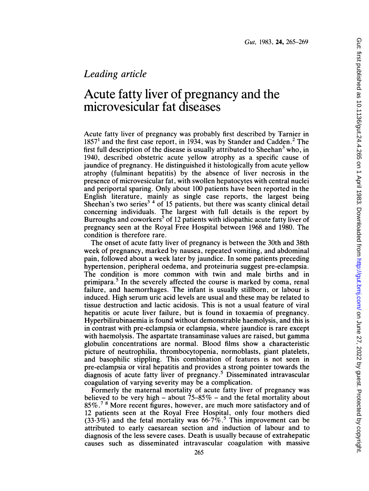## Leading article

## Acute fatty liver of pregnancy and the microvesicular fat diseases

Acute fatty liver of pregnancy was probably first described by Tarnier in  $1857<sup>1</sup>$  and the first case report, in 1934, was by Stander and Cadden.<sup>2</sup> The first full description of the disease is usually attributed to Sheehan<sup>3</sup> who, in 1940, described obstetric acute yellow atrophy as a specific cause of jaundice of pregnancy. He distinguished it histologically from acute yellow atrophy (fulminant hepatitis) by the absence of liver necrosis in the presence of microvesicular fat, with swollen hepatocytes with central nuclei and periportal sparing. Only about 100 patients have been reported in the English literature, mainly as single case reports, the largest being Sheehan's two series<sup>34</sup> of 15 patients, but there was scanty clinical detail concerning individuals. The largest with full details is the report by Burroughs and coworkers<sup>5</sup> of 12 patients with idiopathic acute fatty liver of pregnancy seen at the Royal Free Hospital between 1968 and 1980. The condition is therefore rare.

The onset of acute fatty liver of pregnancy is between the 30th and 38th week of pregnancy, marked by nausea, repeated vomiting, and abdominal pain, followed about a week later by jaundice. In some patients preceding hypertension, peripheral oedema, and proteinuria suggest pre-eclampsia. The condition is more common with twin and male births and in primipara.<sup>5</sup> In the severely affected the course is marked by coma, renal failure, and haemorrhages. The infant is usually stillborn, or labour is induced. High serum uric acid levels are usual and these may be related to tissue destruction and lactic acidosis. This is not a usual feature of viral hepatitis or acute liver failure, but is found in toxaemia of pregnancy. Hyperbilirubinaemia is found without demonstrable haemolysis, and this is in contrast with pre-eclampsia or eclampsia, where jaundice is rare except with haemolysis. The aspartate transaminase values are raised, but gamma globulin concentrations are normal. Blood films show a characteristic picture of neutrophilia, thrombocytopenia, normoblasts, giant platelets, and basophilic stippling. This combination of features is not seen in pre-eclampsia or viral hepatitis and provides a strong pointer towards the diagnosis of acute fatty liver of pregnancy.5 Disseminated intravascular coagulation of varying severity may be a complication.

Formerly the maternal mortality of acute fatty liver of pregnancy was believed to be very high – about  $75-85\%$  – and the fetal mortality about  $85\%$ .<sup>78</sup> More recent figures, however, are much more satisfactory and of 12 patients seen at the Royal Free Hospital, only four mothers died  $(33.3\%)$  and the fetal mortality was 66.7%.<sup>5</sup> This improvement can be attributed to early caesarean section and induction of labour and to diagnosis of the less severe cases. Death is usually because of extrahepatic causes such as disseminated intravascular coagulation with massive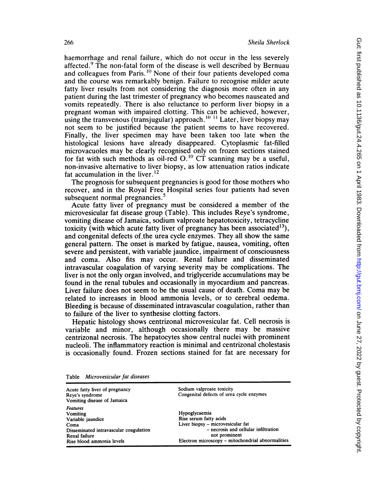haemorrhage and renal failure, which do not occur in the less severely affected.<sup>9</sup> The non-fatal form of the disease is well described by Bernuau and colleagues from Paris.<sup>10</sup> None of their four patients developed coma and the course was remarkably benign. Failure to recognise milder acute fatty liver results from not considering the diagnosis more often in any patient during the last trimester of pregnancy who becomes nauseated and vomits repeatedly. There is also reluctance to perform liver biopsy in a pregnant woman with impaired clotting. This can be achieved, however, using the transvenous (transjugular) approach.<sup>10-11</sup> Later, liver biopsy may not seem to be justified because the patient seems to have recovered. Finally, the liver specimen may have been taken too late when the histological lesions have already disappeared. Cytoplasmic fat-filled microvacuoles may be clearly recognised only on frozen sections stained for fat with such methods as oil-red  $O$ .<sup>10</sup> CT scanning may be a useful, non-invasive alternative to liver biopsy, as low attenuation ratios indicate fat accumulation in the liver. $12$ 

The prognosis for subsequent pregnancies is good for those mothers who recover, and in the Royal Free Hospital series four patients had seven subsequent normal pregnancies.<sup>5</sup>

Acute fatty liver of pregnancy must be considered a member of the microvesicular fat disease group (Table). This includes Reye's syndrome, vomiting disease of Jamaica, sodium valproate hepatotoxicity, tetracycline toxicity (with which acute fatty liver of pregnancy has been associated<sup>13</sup>), and congenital defects of.the urea cycle enzymes. They all show the same general pattern. The onset is marked by fatigue, nausea, vomiting, often severe and persistent, with variable jaundice, impairment of consciousness and coma. Also fits may occur. Renal failure and disseminated intravascular coagulation of varying severity may be complications. The liver is not the only organ involved, and triglyceride accumulations may be found in the renal tubules and occasionally in myocardium and pancreas. Liver failure does not seem to be the usual cause of death. Coma may be related to increases in blood ammonia levels, or to cerebral oedema. Bleeding is because of disseminated intravascular coagulation, rather than to failure of the liver to synthesise clotting factors.

Hepatic histology shows centrizonal microvesicular fat. Cell necrosis is variable and minor, although occasionally there may be massive centrizonal necrosis. The hepatocytes show central nuclei with prominent nucleoli. The inflammatory reaction is minimal and centrizonal cholestasis is occasionally found. Frozen sections stained for fat are necessary for

| Acute fatty liver of pregnancy<br>Reve's syndrome<br>Vomiting disease of Jamaica                                                                 | Sodium valproate toxicity<br>Congenital defects of urea cycle enzymes                                                                                                                      |
|--------------------------------------------------------------------------------------------------------------------------------------------------|--------------------------------------------------------------------------------------------------------------------------------------------------------------------------------------------|
| <b>Features</b><br>Vomiting<br>Variable jaundice<br>Coma<br>Disseminated intravascular coagulation<br>Renal failure<br>Rise blood ammonia levels | Hypoglycaemia<br>Rise serum fatty acids<br>Liver biopsy - microvesicular fat<br>- necrosis and cellular infiltration<br>not prominent<br>Electron microscopy - mitochondrial abnormalities |

Table Microvesicular fat diseases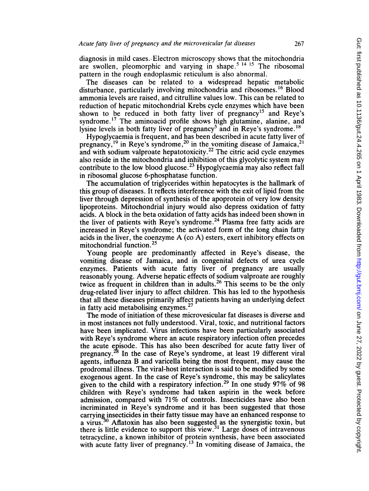diagnosis in mild cases., Electron microscopy shows that the mitochondria are swollen, pleomorphic and varying in shape.<sup>5 14 15</sup> The ribosomal pattern in the rough endoplasmic reticulum is also abnormal.

The diseases can be related to a widespread hepatic metabolic disturbance, particularly involving mitochondria and ribosomes.<sup>16</sup> Blood ammonia levels are raised, and citrulline values low. This can be related to reduction of hepatic mitochondrial Krebs cycle enzymes which have been shown to be reduced in both fatty liver of pregnancy<sup>15</sup> and Reye's syndrome.<sup>17</sup> The aminoacid profile shows high glutamine, alanine, and lysine levels in both fatty liver of pregnancy<sup>5</sup> and in Reye's syndrome.<sup>18</sup>

Hypoglycaemia is frequent, and has been described in acute fatty liver of pregnancy,<sup>19</sup> in Reye's syndrome,<sup>20</sup> in the vomiting disease of Jamaica,<sup>21</sup> and with sodium valproate hepatotoxicity.<sup>22</sup> The citric acid cycle enzymes also reside in the mitochondria and inhibition of this glycolytic system may contribute to the low blood glucose.<sup>23</sup> Hypoglycaemia may also reflect fall in ribosomal glucose 6-phosphatase function.

The accumulation of triglycerides within hepatocytes is the hallmark of this group of diseases. It reflects interference with the exit of lipid from the liver through depression of synthesis of the apoprotein of very low density lipoproteins. Mitochondrial injury would also depress oxidation of fatty acids. A block in the beta oxidation of fatty acids has indeed been shown in the liver of patients with Reye's syndrome.<sup>24</sup> Plasma free fatty acids are increased in Reye's syndrome; the activated form of the long chain fatty acids in the liver, the coenzyme A (co A) esters, exert inhibitory effects on mitochondrial function.<sup>25</sup>

Young people are predominantly affected in Reye's disease, the vomiting disease of Jamaica, and in congenital defects of urea cycle enzymes. Patients with acute fatty liver of pregnancy are usually reasonably young. Adverse hepatic effects of sodium valproate are roughly twice as frequent in children than in adults.<sup>26</sup> This seems to be the only drug-related liver injury to affect children. This has led to the hypothesis that all these diseases primarily affect patients having an underlying defect in fatty acid metabolising enzymes.<sup>27</sup>

The mode of initiation of these microvesicular fat diseases is diverse and in most instances not fully understood. Viral, toxic, and nutritional factors have been implicated. Virus infections have been particularly associated with Reye's syndrome where an acute respiratory infection often precedes the acute episode. This has also been described for acute fatty liver of pregnancy.<sup>28</sup> In the case of Reye's syndrome, at least 19 different viral agents, influenza B and varicella being the most frequent, may cause the prodromal illness. The viral-host interaction is said to be modified by some exogenous agent. In the case of Reye's syndrome, this may be salicylates given to the child with a respiratory infection.<sup>29</sup> In one study  $97\%$  of 98 children with Reye's syndrome had taken aspirin in the week before admission, compared with 71% of controls. Insecticides have also been incriminated in Reye's syndrome and it has been suggested that those carrying insecticides in their fatty tissue may have an enhanced response to a virus.<sup>30</sup> Aflatoxin has also been suggested as the synergistic toxin, but there is little evidence to support this view.<sup>31</sup> Large doses of intravenous tetracycline, a known inhibitor of protein synthesis, have been associated with acute fatty liver of pregnancy.<sup>13</sup> In vomiting disease of Jamaica, the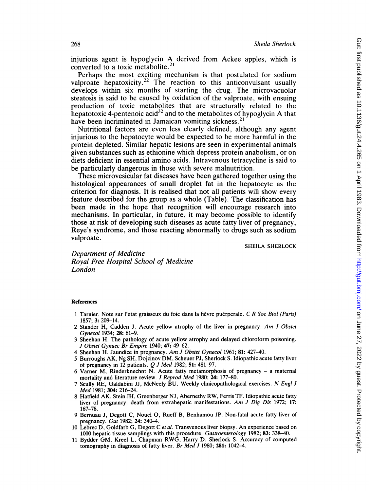injurious agent is hypoglycin A derived from Ackee apples, which is converted to a toxic metabolite.2'

Perhaps the most exciting mechanism is that postulated for sodium valproate hepatoxicity.<sup>22</sup> The reaction to this anticonvulsant usually develops within six months of starting the drug. The microvacuolar steatosis is said to be caused by oxidation of the valproate, with ensuing production of toxic metabolites that are structurally related to the hepatotoxic 4-pentenoic acid<sup>32</sup> and to the metabolites of hypoglycin A that have been incriminated in Jamaican vomiting sickness.<sup>21</sup>

Nutritional factors are even less clearly defined, although any agent injurious to the hepatocyte would be expected to be more harmful in the protein depleted. Similar hepatic lesions are seen in experimental animals given substances such as ethionine which depress protein anabolism, or on diets deficient in essential amino acids. Intravenous tetracycline is said to be particularly dangerous in those with severe malnutrition.

These microvesicular fat diseases have been gathered together using the histological appearances of small droplet fat in the hepatocyte as the criterion for diagnosis. It is realised that not all patients will show every feature described for the group as a whole (Table). The classification has been made in the hope that recognition will encourage research into mechanisms. In particular, in future, it may become possible to identify those at risk of developing such diseases as acute fatty liver of pregnancy, Reye's syndrome, and those reacting abnormally to drugs such as sodium valproate.

SHEILA SHERLOCK

Department of Medicine Royal Free Hospital School of Medicine London

## References

- 1 Tarnier. Note sur l'etat graisseux du foie dans la fièvre puérperale. C R Soc Biol (Paris) 1857; 3: 209-14.
- 2 Stander H, Cadden J. Acute yellow atrophy of the liver in pregnancy. Am J Obstet Gynecol 1934; 28: 61-9.
- 3 Sheehan H. The pathology of acute yellow atrophy and delayed chloroform poisoning. J Obstet Gynaec Br Empire 1940; 47: 49-62.
- <sup>4</sup> Sheehan H. Jaundice in pregnancy. Am <sup>J</sup> Obstet Gynecol 1961; 81: 427-40.
- <sup>5</sup> Burroughs AK, Ng SH, Dojcinov DM, Scheuer PJ, Sherlock S. Idiopathic acute fatty liver of pregnancy in  $12$  patients.  $Q$  J Med 1982; 51: 481-97.
- 6 Varner M, Rinderknechnt N. Acute fatty metamorphosis of pregnancy a maternal mortality and literature review. *J Reprod Med* 1980; 24: 177–80.
- 7 Scully RE, Galdabini JJ, McNeely BU. Weekly clinicopathological exercises. N Engl J Med 1981; 304: 216-24.
- <sup>8</sup> Hatfield AK, Stein JH, Greenberger NJ, Abernethy RW, Ferris TF. Idiopathic acute fatty liver of pregnancy: death from extrahepatic manifestations. Am J Dig Dis 1972; 17: 167-78.
- 9 Bernuau J, Degott C, Nouel 0, Rueff B, Benhamou JP. Non-fatal acute fatty liver of pregnancy. Gut 1982; 24: 340-4.
- 10 Lebrec D, Goldfarb G, Degott C et al. Transvenous liver biopsy. An experience based on 1000 hepatic tissue samplings with this procedure. Gastroenterology 1982; 83: 338-40.
- <sup>11</sup> Bydder GM, Kreel L, Chapman RWG, Harry D, Sherlock S. Accuracy of computed tomography in diagnosis of fatty liver. Br Med J 1980; 281: 1042-4.